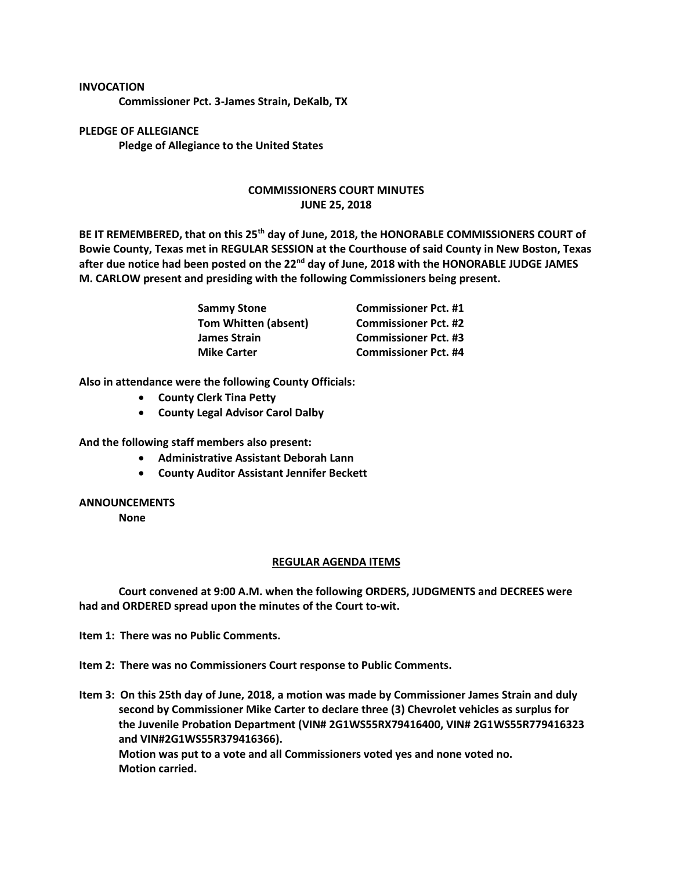## **INVOCATION**

**Commissioner Pct. 3-James Strain, DeKalb, TX**

**PLEDGE OF ALLEGIANCE Pledge of Allegiance to the United States**

## **COMMISSIONERS COURT MINUTES JUNE 25, 2018**

**BE IT REMEMBERED, that on this 25th day of June, 2018, the HONORABLE COMMISSIONERS COURT of Bowie County, Texas met in REGULAR SESSION at the Courthouse of said County in New Boston, Texas after due notice had been posted on the 22nd day of June, 2018 with the HONORABLE JUDGE JAMES M. CARLOW present and presiding with the following Commissioners being present.**

| <b>Sammy Stone</b>          | <b>Commissioner Pct. #1</b> |
|-----------------------------|-----------------------------|
| <b>Tom Whitten (absent)</b> | <b>Commissioner Pct. #2</b> |
| James Strain                | <b>Commissioner Pct. #3</b> |
| <b>Mike Carter</b>          | <b>Commissioner Pct. #4</b> |

**Also in attendance were the following County Officials:**

- **County Clerk Tina Petty**
- **County Legal Advisor Carol Dalby**

**And the following staff members also present:**

- **Administrative Assistant Deborah Lann**
- **County Auditor Assistant Jennifer Beckett**

## **ANNOUNCEMENTS**

**None**

## **REGULAR AGENDA ITEMS**

**Court convened at 9:00 A.M. when the following ORDERS, JUDGMENTS and DECREES were had and ORDERED spread upon the minutes of the Court to-wit.**

**Item 1: There was no Public Comments.**

**Item 2: There was no Commissioners Court response to Public Comments.**

**Item 3: On this 25th day of June, 2018, a motion was made by Commissioner James Strain and duly second by Commissioner Mike Carter to declare three (3) Chevrolet vehicles as surplus for the Juvenile Probation Department (VIN# 2G1WS55RX79416400, VIN# 2G1WS55R779416323 and VIN#2G1WS55R379416366). Motion was put to a vote and all Commissioners voted yes and none voted no. Motion carried.**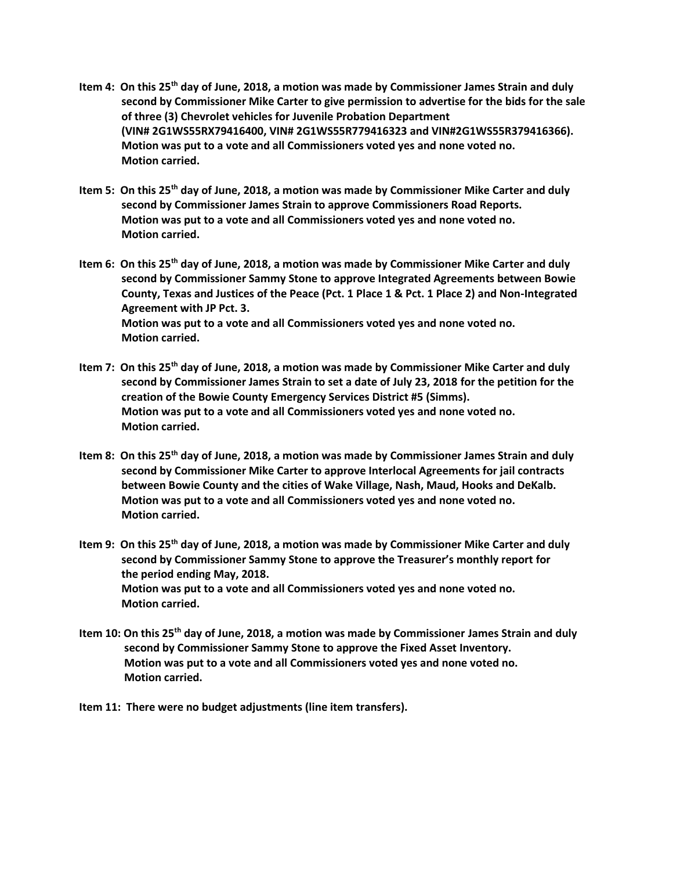- **Item 4: On this 25th day of June, 2018, a motion was made by Commissioner James Strain and duly second by Commissioner Mike Carter to give permission to advertise for the bids for the sale of three (3) Chevrolet vehicles for Juvenile Probation Department (VIN# 2G1WS55RX79416400, VIN# 2G1WS55R779416323 and VIN#2G1WS55R379416366). Motion was put to a vote and all Commissioners voted yes and none voted no. Motion carried.**
- **Item 5: On this 25th day of June, 2018, a motion was made by Commissioner Mike Carter and duly second by Commissioner James Strain to approve Commissioners Road Reports. Motion was put to a vote and all Commissioners voted yes and none voted no. Motion carried.**
- **Item 6: On this 25th day of June, 2018, a motion was made by Commissioner Mike Carter and duly second by Commissioner Sammy Stone to approve Integrated Agreements between Bowie County, Texas and Justices of the Peace (Pct. 1 Place 1 & Pct. 1 Place 2) and Non-Integrated Agreement with JP Pct. 3. Motion was put to a vote and all Commissioners voted yes and none voted no. Motion carried.**
- **Item 7: On this 25th day of June, 2018, a motion was made by Commissioner Mike Carter and duly second by Commissioner James Strain to set a date of July 23, 2018 for the petition for the creation of the Bowie County Emergency Services District #5 (Simms). Motion was put to a vote and all Commissioners voted yes and none voted no. Motion carried.**
- **Item 8: On this 25th day of June, 2018, a motion was made by Commissioner James Strain and duly second by Commissioner Mike Carter to approve Interlocal Agreements for jail contracts between Bowie County and the cities of Wake Village, Nash, Maud, Hooks and DeKalb. Motion was put to a vote and all Commissioners voted yes and none voted no. Motion carried.**
- **Item 9: On this 25th day of June, 2018, a motion was made by Commissioner Mike Carter and duly second by Commissioner Sammy Stone to approve the Treasurer's monthly report for the period ending May, 2018. Motion was put to a vote and all Commissioners voted yes and none voted no. Motion carried.**
- **Item 10: On this 25th day of June, 2018, a motion was made by Commissioner James Strain and duly second by Commissioner Sammy Stone to approve the Fixed Asset Inventory. Motion was put to a vote and all Commissioners voted yes and none voted no. Motion carried.**
- **Item 11: There were no budget adjustments (line item transfers).**